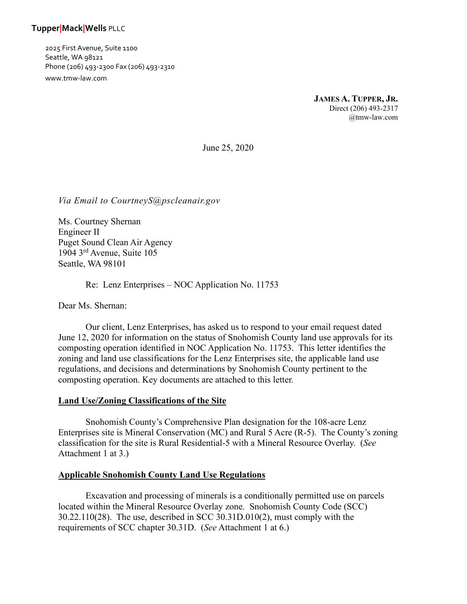# **Tupper|Mack|Wells** PLLC

2025 First Avenue, Suite 1100 Seattle, WA 98121 Phone (206) 493-2300 Fax (206) 493-2310 www.tmw-law.com

> **JAMES A. TUPPER, JR.** Direct (206) 493-2317 @tmw-law.com

June 25, 2020

*Via Email to CourtneyS@pscleanair.gov*

Ms. Courtney Shernan Engineer II Puget Sound Clean Air Agency 1904 3rd Avenue, Suite 105 Seattle, WA 98101

Re: Lenz Enterprises – NOC Application No. 11753

Dear Ms. Shernan:

Our client, Lenz Enterprises, has asked us to respond to your email request dated June 12, 2020 for information on the status of Snohomish County land use approvals for its composting operation identified in NOC Application No. 11753. This letter identifies the zoning and land use classifications for the Lenz Enterprises site, the applicable land use regulations, and decisions and determinations by Snohomish County pertinent to the composting operation. Key documents are attached to this letter.

#### **Land Use/Zoning Classifications of the Site**

Snohomish County's Comprehensive Plan designation for the 108-acre Lenz Enterprises site is Mineral Conservation (MC) and Rural 5 Acre (R-5). The County's zoning classification for the site is Rural Residential-5 with a Mineral Resource Overlay. (*See* Attachment 1 at 3.)

#### **Applicable Snohomish County Land Use Regulations**

Excavation and processing of minerals is a conditionally permitted use on parcels located within the Mineral Resource Overlay zone. Snohomish County Code (SCC) 30.22.110(28). The use, described in SCC 30.31D.010(2), must comply with the requirements of SCC chapter 30.31D. (*See* Attachment 1 at 6.)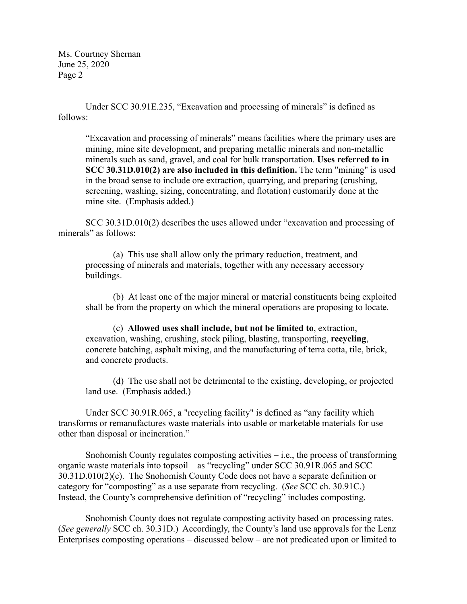Under SCC 30.91E.235, "Excavation and processing of minerals" is defined as follows:

"Excavation and processing of minerals" means facilities where the primary uses are mining, mine site development, and preparing metallic minerals and non-metallic minerals such as sand, gravel, and coal for bulk transportation. **Uses referred to in SCC 30.31D.010(2) are also included in this definition.** The term "mining" is used in the broad sense to include ore extraction, quarrying, and preparing (crushing, screening, washing, sizing, concentrating, and flotation) customarily done at the mine site. (Emphasis added.)

SCC 30.31D.010(2) describes the uses allowed under "excavation and processing of minerals" as follows:

(a) This use shall allow only the primary reduction, treatment, and processing of minerals and materials, together with any necessary accessory buildings.

(b) At least one of the major mineral or material constituents being exploited shall be from the property on which the mineral operations are proposing to locate.

(c) **Allowed uses shall include, but not be limited to**, extraction, excavation, washing, crushing, stock piling, blasting, transporting, **recycling**, concrete batching, asphalt mixing, and the manufacturing of terra cotta, tile, brick, and concrete products.

(d) The use shall not be detrimental to the existing, developing, or projected land use. (Emphasis added.)

Under SCC 30.91R.065, a "recycling facility" is defined as "any facility which transforms or remanufactures waste materials into usable or marketable materials for use other than disposal or incineration."

Snohomish County regulates composting activities  $-$  i.e., the process of transforming organic waste materials into topsoil – as "recycling" under SCC 30.91R.065 and SCC 30.31D.010(2)(c). The Snohomish County Code does not have a separate definition or category for "composting" as a use separate from recycling. (*See* SCC ch. 30.91C.) Instead, the County's comprehensive definition of "recycling" includes composting.

Snohomish County does not regulate composting activity based on processing rates. (*See generally* SCC ch. 30.31D.) Accordingly, the County's land use approvals for the Lenz Enterprises composting operations – discussed below – are not predicated upon or limited to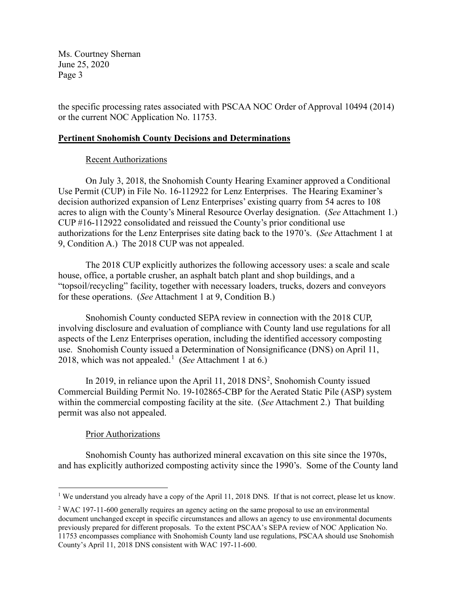the specific processing rates associated with PSCAA NOC Order of Approval 10494 (2014) or the current NOC Application No. 11753.

### **Pertinent Snohomish County Decisions and Determinations**

## Recent Authorizations

On July 3, 2018, the Snohomish County Hearing Examiner approved a Conditional Use Permit (CUP) in File No. 16-112922 for Lenz Enterprises. The Hearing Examiner's decision authorized expansion of Lenz Enterprises' existing quarry from 54 acres to 108 acres to align with the County's Mineral Resource Overlay designation. (*See* Attachment 1.) CUP #16-112922 consolidated and reissued the County's prior conditional use authorizations for the Lenz Enterprises site dating back to the 1970's. (*See* Attachment 1 at 9, Condition A.) The 2018 CUP was not appealed.

The 2018 CUP explicitly authorizes the following accessory uses: a scale and scale house, office, a portable crusher, an asphalt batch plant and shop buildings, and a "topsoil/recycling" facility, together with necessary loaders, trucks, dozers and conveyors for these operations. (*See* Attachment 1 at 9, Condition B.)

Snohomish County conducted SEPA review in connection with the 2018 CUP, involving disclosure and evaluation of compliance with County land use regulations for all aspects of the Lenz Enterprises operation, including the identified accessory composting use. Snohomish County issued a Determination of Nonsignificance (DNS) on April 11, 2018, which was not appealed.[1](#page-2-0) (*See* Attachment 1 at 6.)

In [2](#page-2-1)019, in reliance upon the April 11, 2018 DNS<sup>2</sup>, Snohomish County issued Commercial Building Permit No. 19-102865-CBP for the Aerated Static Pile (ASP) system within the commercial composting facility at the site. (*See* Attachment 2.) That building permit was also not appealed.

# Prior Authorizations

Snohomish County has authorized mineral excavation on this site since the 1970s, and has explicitly authorized composting activity since the 1990's. Some of the County land

<span id="page-2-0"></span><sup>&</sup>lt;sup>1</sup> We understand you already have a copy of the April 11, 2018 DNS. If that is not correct, please let us know.

<span id="page-2-1"></span><sup>2</sup> WAC 197-11-600 generally requires an agency acting on the same proposal to use an environmental document unchanged except in specific circumstances and allows an agency to use environmental documents previously prepared for different proposals. To the extent PSCAA's SEPA review of NOC Application No. 11753 encompasses compliance with Snohomish County land use regulations, PSCAA should use Snohomish County's April 11, 2018 DNS consistent with WAC 197-11-600.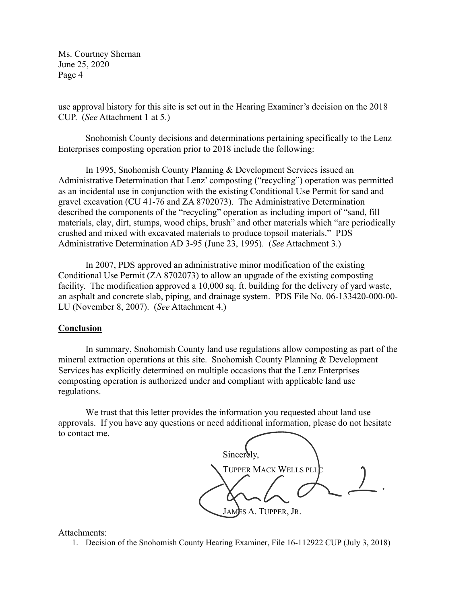use approval history for this site is set out in the Hearing Examiner's decision on the 2018 CUP. (*See* Attachment 1 at 5.)

Snohomish County decisions and determinations pertaining specifically to the Lenz Enterprises composting operation prior to 2018 include the following:

In 1995, Snohomish County Planning & Development Services issued an Administrative Determination that Lenz' composting ("recycling") operation was permitted as an incidental use in conjunction with the existing Conditional Use Permit for sand and gravel excavation (CU 41-76 and ZA 8702073). The Administrative Determination described the components of the "recycling" operation as including import of "sand, fill materials, clay, dirt, stumps, wood chips, brush" and other materials which "are periodically crushed and mixed with excavated materials to produce topsoil materials." PDS Administrative Determination AD 3-95 (June 23, 1995). (*See* Attachment 3.)

In 2007, PDS approved an administrative minor modification of the existing Conditional Use Permit (ZA 8702073) to allow an upgrade of the existing composting facility. The modification approved a 10,000 sq. ft. building for the delivery of yard waste, an asphalt and concrete slab, piping, and drainage system. PDS File No. 06-133420-000-00- LU (November 8, 2007). (*See* Attachment 4.)

### **Conclusion**

In summary, Snohomish County land use regulations allow composting as part of the mineral extraction operations at this site. Snohomish County Planning & Development Services has explicitly determined on multiple occasions that the Lenz Enterprises composting operation is authorized under and compliant with applicable land use regulations.

We trust that this letter provides the information you requested about land use approvals. If you have any questions or need additional information, please do not hesitate to contact me.

Sincerely, TUPPER MACK WELLS PLL JAMES A. TUPPER, JR.

Attachments:

1. Decision of the Snohomish County Hearing Examiner, File 16-112922 CUP (July 3, 2018)